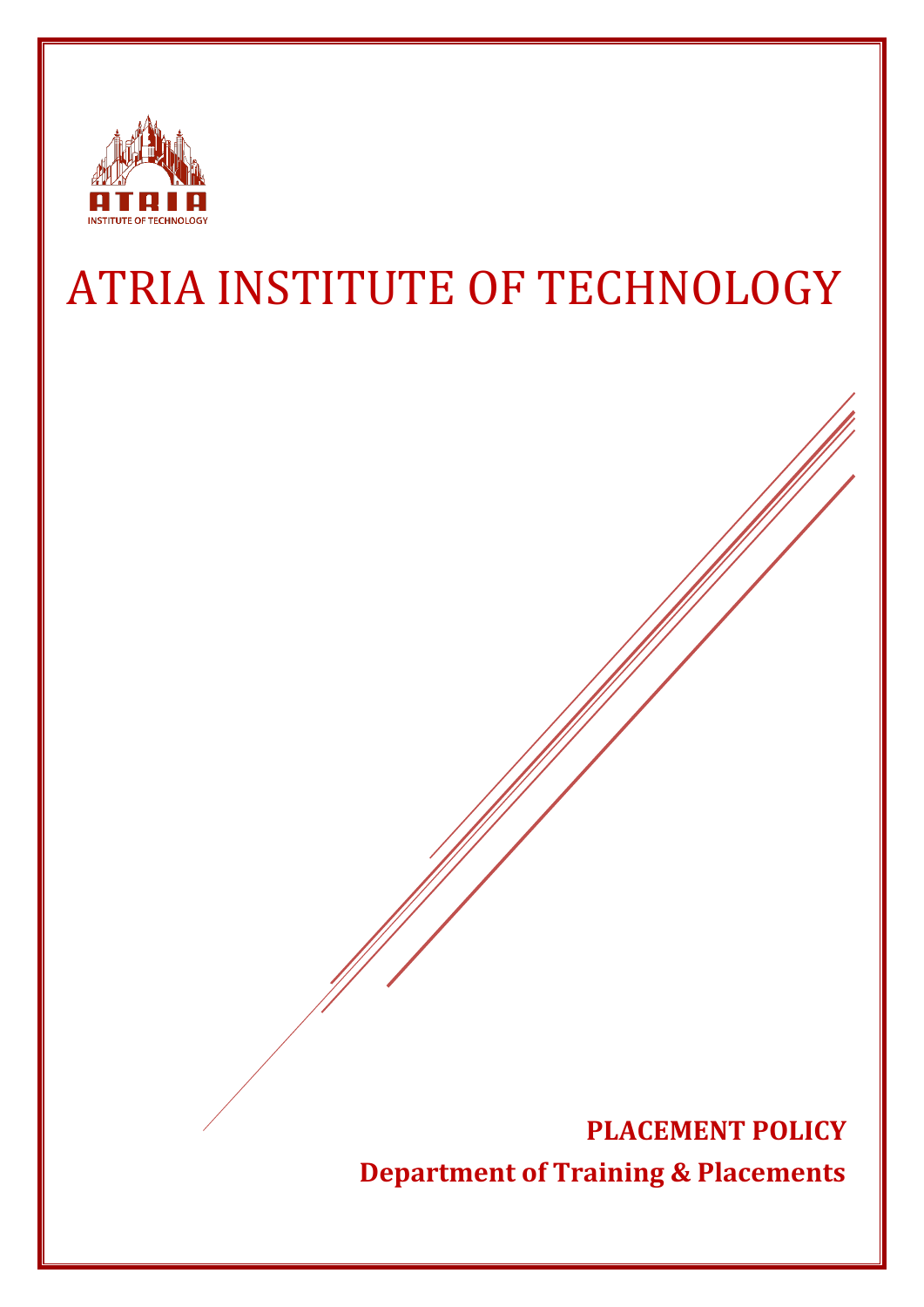

# ATRIA INSTITUTE OF TECHNOLOGY

**PLACEMENT POLICY Department of Training & Placements**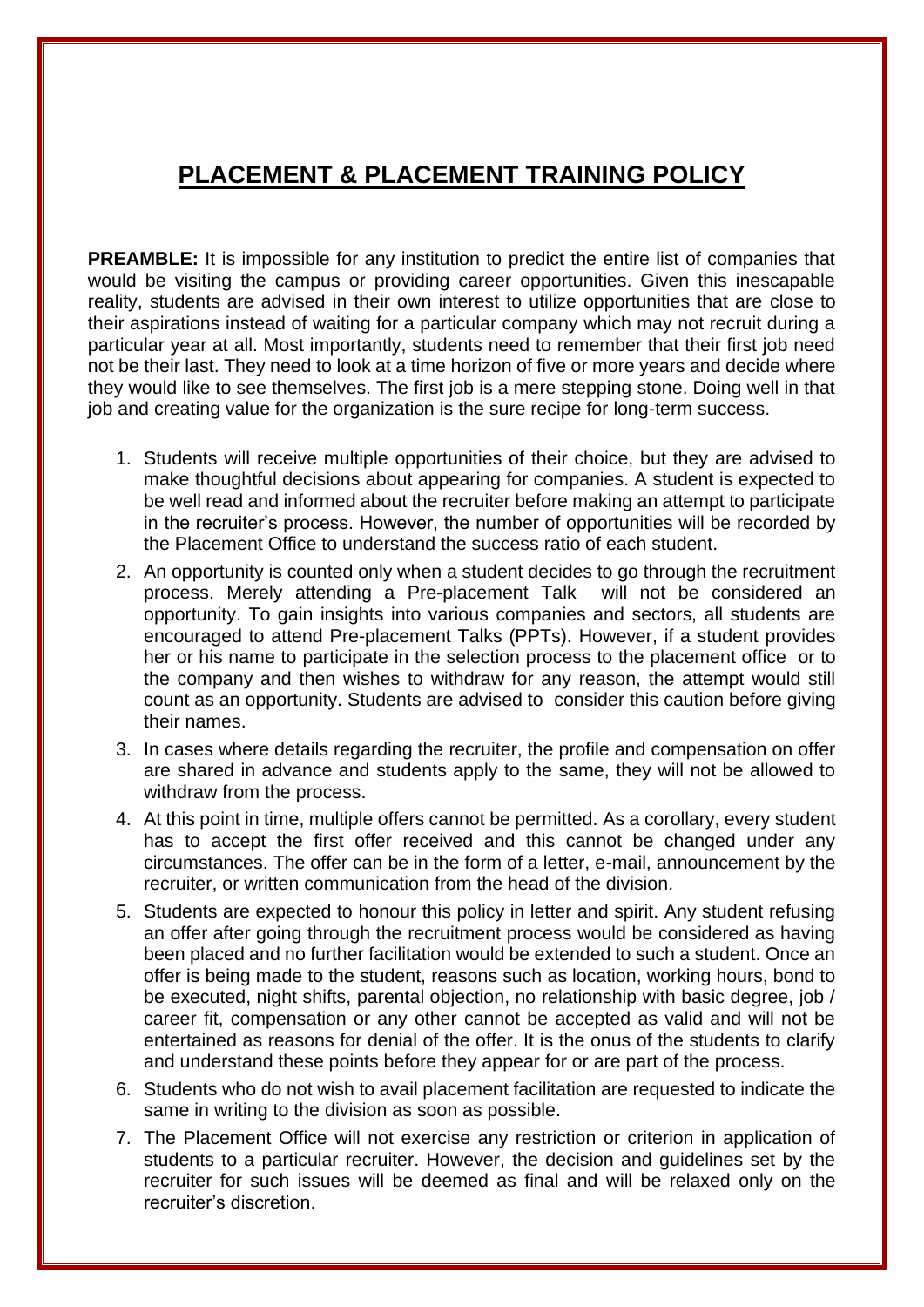# **PLACEMENT & PLACEMENT TRAINING POLICY**

**PREAMBLE:** It is impossible for any institution to predict the entire list of companies that would be visiting the campus or providing career opportunities. Given this inescapable reality, students are advised in their own interest to utilize opportunities that are close to their aspirations instead of waiting for a particular company which may not recruit during a particular year at all. Most importantly, students need to remember that their first job need not be their last. They need to look at a time horizon of five or more years and decide where they would like to see themselves. The first job is a mere stepping stone. Doing well in that job and creating value for the organization is the sure recipe for long-term success.

- 1. Students will receive multiple opportunities of their choice, but they are advised to make thoughtful decisions about appearing for companies. A student is expected to be well read and informed about the recruiter before making an attempt to participate in the recruiter's process. However, the number of opportunities will be recorded by the Placement Office to understand the success ratio of each student.
- 2. An opportunity is counted only when a student decides to go through the recruitment process. Merely attending a Pre-placement Talk will not be considered an opportunity. To gain insights into various companies and sectors, all students are encouraged to attend Pre-placement Talks (PPTs). However, if a student provides her or his name to participate in the selection process to the placement office or to the company and then wishes to withdraw for any reason, the attempt would still count as an opportunity. Students are advised to consider this caution before giving their names.
- 3. In cases where details regarding the recruiter, the profile and compensation on offer are shared in advance and students apply to the same, they will not be allowed to withdraw from the process.
- 4. At this point in time, multiple offers cannot be permitted. As a corollary, every student has to accept the first offer received and this cannot be changed under any circumstances. The offer can be in the form of a letter, e-mail, announcement by the recruiter, or written communication from the head of the division.
- 5. Students are expected to honour this policy in letter and spirit. Any student refusing an offer after going through the recruitment process would be considered as having been placed and no further facilitation would be extended to such a student. Once an offer is being made to the student, reasons such as location, working hours, bond to be executed, night shifts, parental objection, no relationship with basic degree, job / career fit, compensation or any other cannot be accepted as valid and will not be entertained as reasons for denial of the offer. It is the onus of the students to clarify and understand these points before they appear for or are part of the process.
- 6. Students who do not wish to avail placement facilitation are requested to indicate the same in writing to the division as soon as possible.
- 7. The Placement Office will not exercise any restriction or criterion in application of students to a particular recruiter. However, the decision and guidelines set by the recruiter for such issues will be deemed as final and will be relaxed only on the recruiter's discretion.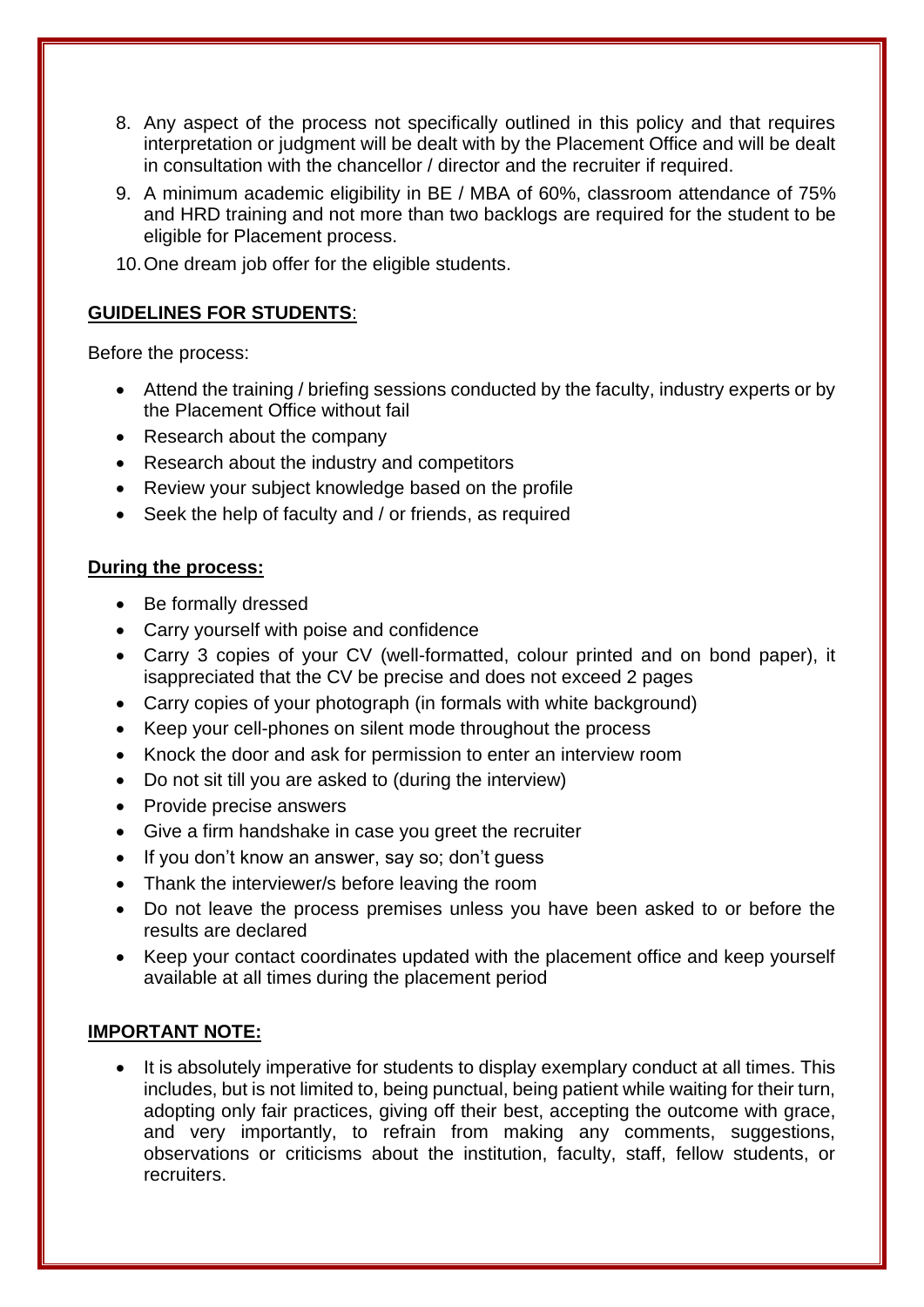- 8. Any aspect of the process not specifically outlined in this policy and that requires interpretation or judgment will be dealt with by the Placement Office and will be dealt in consultation with the chancellor / director and the recruiter if required.
- 9. A minimum academic eligibility in BE / MBA of 60%, classroom attendance of 75% and HRD training and not more than two backlogs are required for the student to be eligible for Placement process.
- 10.One dream job offer for the eligible students.

# **GUIDELINES FOR STUDENTS**:

Before the process:

- Attend the training / briefing sessions conducted by the faculty, industry experts or by the Placement Office without fail
- Research about the company
- Research about the industry and competitors
- Review your subject knowledge based on the profile
- Seek the help of faculty and / or friends, as required

#### **During the process:**

- Be formally dressed
- Carry yourself with poise and confidence
- Carry 3 copies of your CV (well-formatted, colour printed and on bond paper), it isappreciated that the CV be precise and does not exceed 2 pages
- Carry copies of your photograph (in formals with white background)
- Keep your cell-phones on silent mode throughout the process
- Knock the door and ask for permission to enter an interview room
- Do not sit till you are asked to (during the interview)
- Provide precise answers
- Give a firm handshake in case you greet the recruiter
- If you don't know an answer, say so; don't quess
- Thank the interviewer/s before leaving the room
- Do not leave the process premises unless you have been asked to or before the results are declared
- Keep your contact coordinates updated with the placement office and keep yourself available at all times during the placement period

### **IMPORTANT NOTE:**

It is absolutely imperative for students to display exemplary conduct at all times. This includes, but is not limited to, being punctual, being patient while waiting for their turn, adopting only fair practices, giving off their best, accepting the outcome with grace, and very importantly, to refrain from making any comments, suggestions, observations or criticisms about the institution, faculty, staff, fellow students, or recruiters.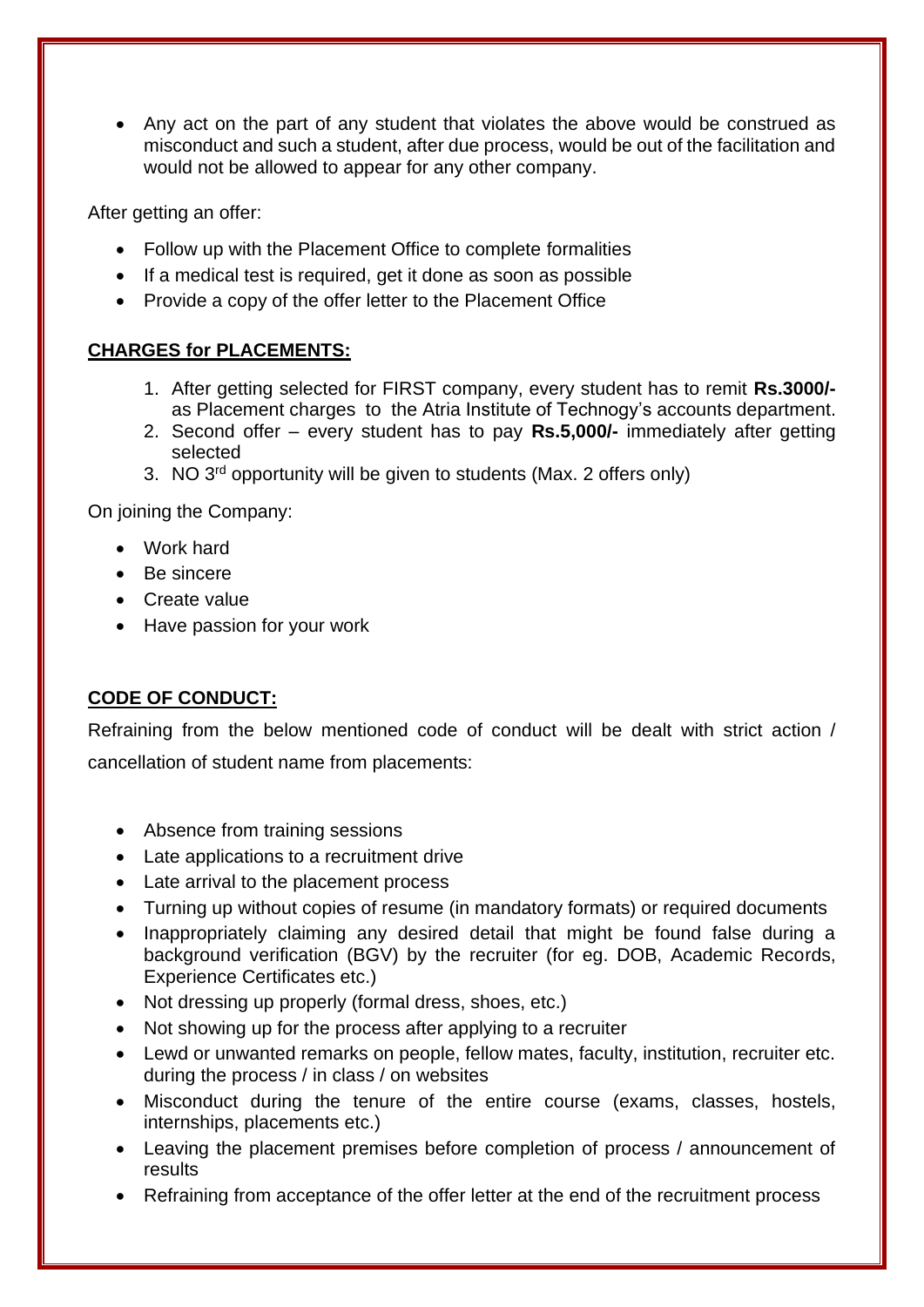• Any act on the part of any student that violates the above would be construed as misconduct and such a student, after due process, would be out of the facilitation and would not be allowed to appear for any other company.

After getting an offer:

- Follow up with the Placement Office to complete formalities
- If a medical test is required, get it done as soon as possible
- Provide a copy of the offer letter to the Placement Office

# **CHARGES for PLACEMENTS:**

- 1. After getting selected for FIRST company, every student has to remit **Rs.3000/** as Placement charges to the Atria Institute of Technogy's accounts department.
- 2. Second offer every student has to pay **Rs.5,000/-** immediately after getting selected
- 3. NO 3<sup>rd</sup> opportunity will be given to students (Max. 2 offers only)

On joining the Company:

- Work hard
- Be sincere
- Create value
- Have passion for your work

# **CODE OF CONDUCT:**

Refraining from the below mentioned code of conduct will be dealt with strict action / cancellation of student name from placements:

- Absence from training sessions
- Late applications to a recruitment drive
- Late arrival to the placement process
- Turning up without copies of resume (in mandatory formats) or required documents
- Inappropriately claiming any desired detail that might be found false during a background verification (BGV) by the recruiter (for eg. DOB, Academic Records, Experience Certificates etc.)
- Not dressing up properly (formal dress, shoes, etc.)
- Not showing up for the process after applying to a recruiter
- Lewd or unwanted remarks on people, fellow mates, faculty, institution, recruiter etc. during the process / in class / on websites
- Misconduct during the tenure of the entire course (exams, classes, hostels, internships, placements etc.)
- Leaving the placement premises before completion of process / announcement of results
- Refraining from acceptance of the offer letter at the end of the recruitment process